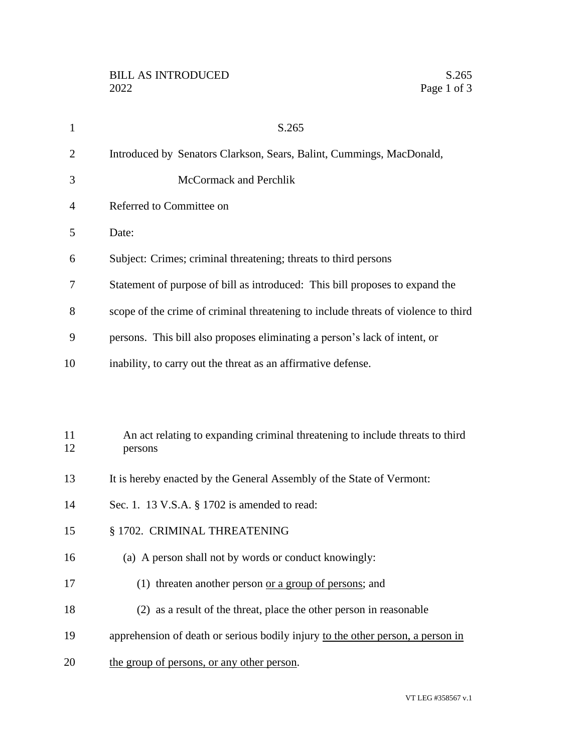| $\mathbf{1}$   | S.265                                                                                    |
|----------------|------------------------------------------------------------------------------------------|
| $\overline{2}$ | Introduced by Senators Clarkson, Sears, Balint, Cummings, MacDonald,                     |
| 3              | McCormack and Perchlik                                                                   |
| 4              | Referred to Committee on                                                                 |
| 5              | Date:                                                                                    |
| 6              | Subject: Crimes; criminal threatening; threats to third persons                          |
| 7              | Statement of purpose of bill as introduced: This bill proposes to expand the             |
| 8              | scope of the crime of criminal threatening to include threats of violence to third       |
| 9              | persons. This bill also proposes eliminating a person's lack of intent, or               |
| 10             | inability, to carry out the threat as an affirmative defense.                            |
|                |                                                                                          |
| 11<br>12       | An act relating to expanding criminal threatening to include threats to third<br>persons |
| 13             | It is hereby enacted by the General Assembly of the State of Vermont:                    |
| 14             | Sec. 1. 13 V.S.A. § 1702 is amended to read:                                             |
| 15             | § 1702. CRIMINAL THREATENING                                                             |
| 16             | (a) A person shall not by words or conduct knowingly:                                    |
| 17             | (1) threaten another person or a group of persons; and                                   |
| 18             | (2) as a result of the threat, place the other person in reasonable                      |
| 19             | apprehension of death or serious bodily injury to the other person, a person in          |
| 20             | the group of persons, or any other person.                                               |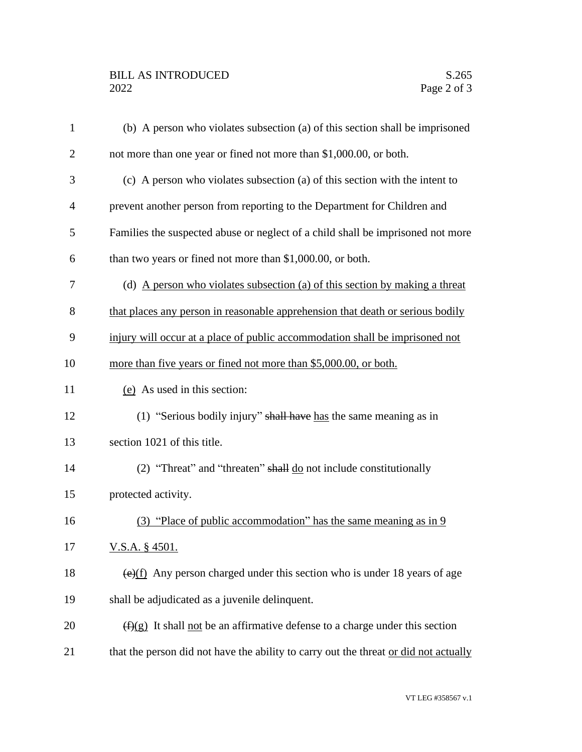| $\mathbf{1}$   | (b) A person who violates subsection (a) of this section shall be imprisoned                  |
|----------------|-----------------------------------------------------------------------------------------------|
| $\overline{2}$ | not more than one year or fined not more than \$1,000.00, or both.                            |
| 3              | (c) A person who violates subsection (a) of this section with the intent to                   |
| $\overline{4}$ | prevent another person from reporting to the Department for Children and                      |
| 5              | Families the suspected abuse or neglect of a child shall be imprisoned not more               |
| 6              | than two years or fined not more than \$1,000.00, or both.                                    |
| 7              | (d) A person who violates subsection (a) of this section by making a threat                   |
| 8              | that places any person in reasonable apprehension that death or serious bodily                |
| 9              | injury will occur at a place of public accommodation shall be imprisoned not                  |
| 10             | more than five years or fined not more than \$5,000.00, or both.                              |
| 11             | (e) As used in this section:                                                                  |
| 12             | (1) "Serious bodily injury" shall have has the same meaning as in                             |
| 13             | section 1021 of this title.                                                                   |
| 14             | (2) "Threat" and "threaten" shall $\underline{do}$ not include constitutionally               |
| 15             | protected activity.                                                                           |
| 16             | (3) "Place of public accommodation" has the same meaning as in 9                              |
| 17             | <u>V.S.A. § 4501.</u>                                                                         |
| 18             | $\left(\frac{e}{f}\right)$ Any person charged under this section who is under 18 years of age |
| 19             | shall be adjudicated as a juvenile delinquent.                                                |
| 20             | $(f)(g)$ It shall not be an affirmative defense to a charge under this section                |
| 21             | that the person did not have the ability to carry out the threat or did not actually          |